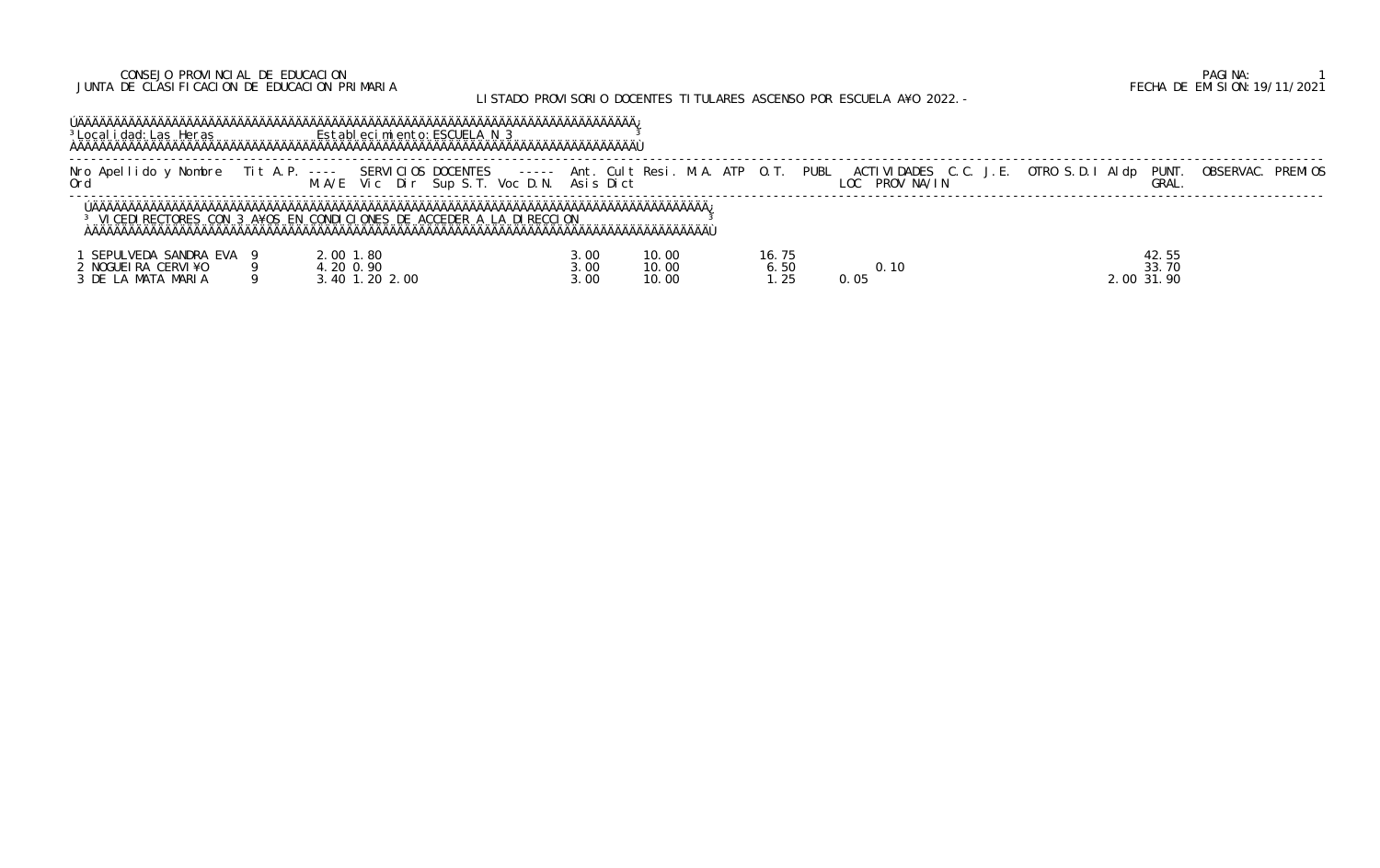## CONSEJO PROVINCIAL DE EDUCACION PAGINA: 1 JUNTA DE CLASIFICACION DE EDUCACION PRIMARIA FECHA DE EMISION:19/11/2021

# LISTADO PROVISORIO DOCENTES TITULARES ASCENSO POR ESCUELA A¥O 2022. -

# ÚÄÄÄÄÄÄÄÄÄÄÄÄÄÄÄÄÄÄÄÄÄÄÄÄÄÄÄÄÄÄÄÄÄÄÄÄÄÄÄÄÄÄÄÄÄÄÄÄÄÄÄÄÄÄÄÄÄÄÄÄÄÄÄÄÄÄÄÄÄÄÄÄÄÄÄÄÄ¿ <sup>3</sup>Localidad:Las Heras Establecimiento:ESCUELA N 3 ÀÄÄÄÄÄÄÄÄÄÄÄÄÄÄÄÄÄÄÄÄÄÄÄÄÄÄÄÄÄÄÄÄÄÄÄÄÄÄÄÄÄÄÄÄÄÄÄÄÄÄÄÄÄÄÄÄÄÄÄÄÄÄÄÄÄÄÄÄÄÄÄÄÄÄÄÄÄÙ

 ----------------------------------------------------------------------------------------------------------------------------------------------------------------------------- Nro Apellido y Nombre Tit A.P. ---- SERVICIOS DOCENTES ----- Ant. Cult Resi. M.A. ATP O.T. PUBL ACTIVIDADES C.C. J.E. OTRO S.D.I Aldp PUNT. OBSERVAC. PREMIOS Ord M.A/E Vic Dir Sup S.T. Voc D.N. Asis Dict LOC PROV NA/IN GRAL. -----------------------------------------------------------------------------------------------------------------------------------------------------------------------------

 ÚÄÄÄÄÄÄÄÄÄÄÄÄÄÄÄÄÄÄÄÄÄÄÄÄÄÄÄÄÄÄÄÄÄÄÄÄÄÄÄÄÄÄÄÄÄÄÄÄÄÄÄÄÄÄÄÄÄÄÄÄÄÄÄÄÄÄÄÄÄÄÄÄÄÄÄÄÄÄÄÄÄÄÄÄÄ¿ <sup>3</sup> VICEDIRECTORES CON 3 A¥OS EN CONDICIONES DE ACCEDER A LA DIRECCION <sup>3</sup> ÀÄÄÄÄÄÄÄÄÄÄÄÄÄÄÄÄÄÄÄÄÄÄÄÄÄÄÄÄÄÄÄÄÄÄÄÄÄÄÄÄÄÄÄÄÄÄÄÄÄÄÄÄÄÄÄÄÄÄÄÄÄÄÄÄÄÄÄÄÄÄÄÄÄÄÄÄÄÄÄÄÄÄÄÄÄÙ

| SEPULVEDA SANDRA EVA | $00\,$<br>1.80  | 3.00 | 10.00 | . <i>.</i> – –<br>16.          |           | $\Lambda$ $\cap$ $\Gamma$ $\Gamma$<br><b>hh</b><br>42. 55 |
|----------------------|-----------------|------|-------|--------------------------------|-----------|-----------------------------------------------------------|
| NOGUEIRA CERVI¥O     | 20 0.90         | 3.00 | 10.00 | 6.50                           | <b>10</b> | 33.70                                                     |
| B DE LA MATA MARIA   | .202.00<br>40 1 | 3.00 | 10.00 | $\sim$ $\sim$ $\sim$<br>ب 2. . | U. U.J    | 2.00 31.90                                                |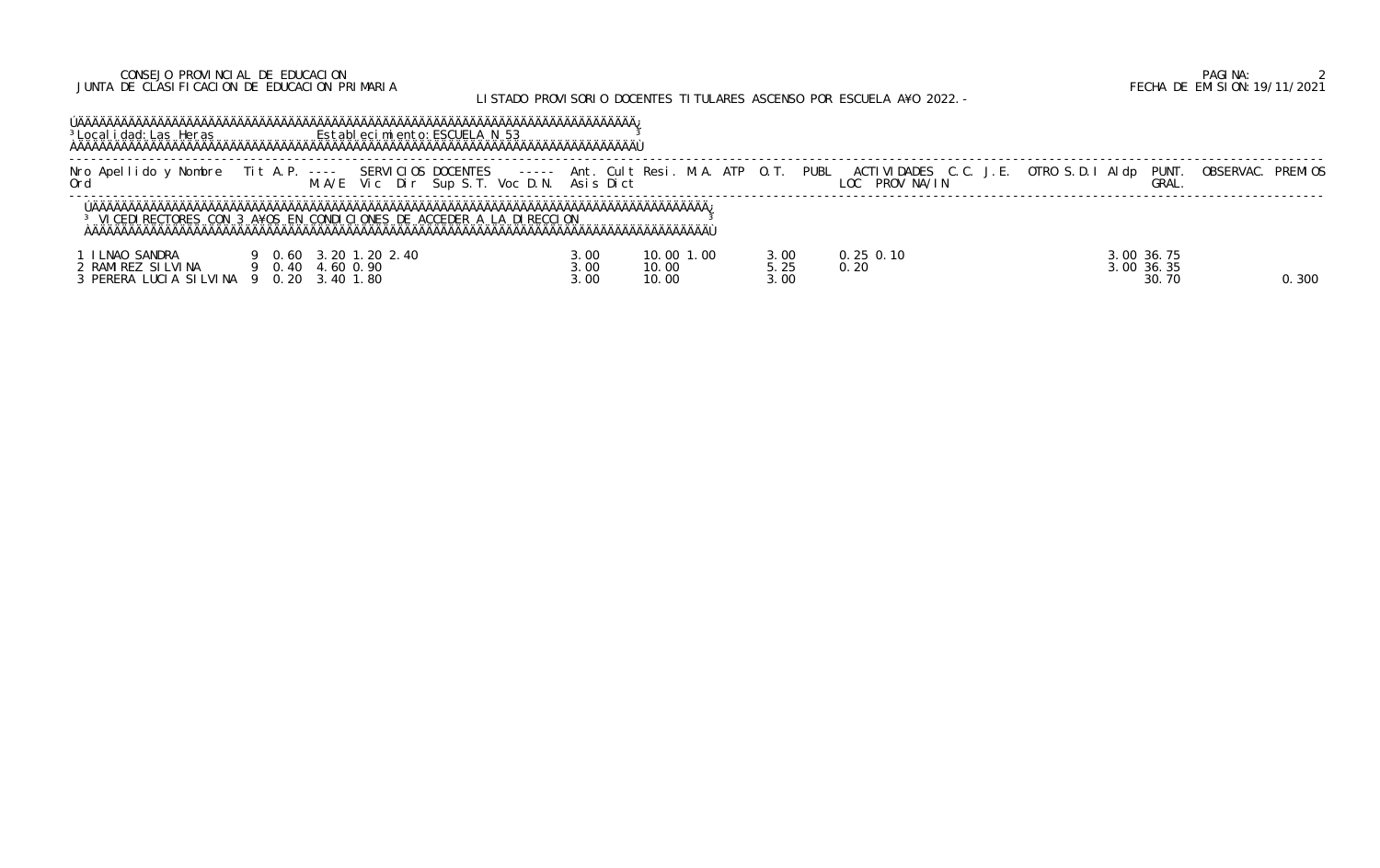## CONSEJO PROVINCIAL DE EDUCACION PAGINA: 2 JUNTA DE CLASIFICACION DE EDUCACION PRIMARIA FECHA DE EMISION:19/11/2021

# LISTADO PROVISORIO DOCENTES TITULARES ASCENSO POR ESCUELA A¥O 2022. -

# ÚÄÄÄÄÄÄÄÄÄÄÄÄÄÄÄÄÄÄÄÄÄÄÄÄÄÄÄÄÄÄÄÄÄÄÄÄÄÄÄÄÄÄÄÄÄÄÄÄÄÄÄÄÄÄÄÄÄÄÄÄÄÄÄÄÄÄÄÄÄÄÄÄÄÄÄÄÄ¿ <sup>3</sup>Localidad:Las Heras Establecimiento:ESCUELA N 53 3 ÀÄÄÄÄÄÄÄÄÄÄÄÄÄÄÄÄÄÄÄÄÄÄÄÄÄÄÄÄÄÄÄÄÄÄÄÄÄÄÄÄÄÄÄÄÄÄÄÄÄÄÄÄÄÄÄÄÄÄÄÄÄÄÄÄÄÄÄÄÄÄÄÄÄÄÄÄÄÙ

|                                                                                 |                  |                       | M.A/E Vic Dir Sup S.T. Voc D.N. Asis Dict |                |                |            |                      | Nro Apellido y Nombre Tit A.P. ---- SERVICIOS DOCENTES ----- Ant. Cult Resi. M.A. ATP O.T. PUBL ACTIVIDADES C.C. J.E. OTRO S.D.I Aldp<br>LOC PROV NA/IN | GRAL                              | PUNT. OBSERVAC. PREMIOS |       |
|---------------------------------------------------------------------------------|------------------|-----------------------|-------------------------------------------|----------------|----------------|------------|----------------------|---------------------------------------------------------------------------------------------------------------------------------------------------------|-----------------------------------|-------------------------|-------|
| <sup>3</sup> VICEDIRECTORES CON 3 A¥OS EN CONDICIONES DE ACCEDER A LA DIRECCION |                  |                       |                                           |                |                |            |                      |                                                                                                                                                         |                                   |                         |       |
| 1 ILNAO SANDRA<br>2 RAMIREZ SILVINA<br>3 PERERA LUCIA SILVINA 9 0.20 3.40 1.80  | 9 0.40 4.60 0.90 | 9 0.60 3.20 1.20 2.40 |                                           | 3. OO<br>3. OC | 10.00<br>10.00 | 10.00 1.00 | 3.00<br>5.25<br>3.00 | $0.25$ $0.10$<br>0.20                                                                                                                                   | 3.00 36.75<br>3.00 36.35<br>30.70 |                         | 0.300 |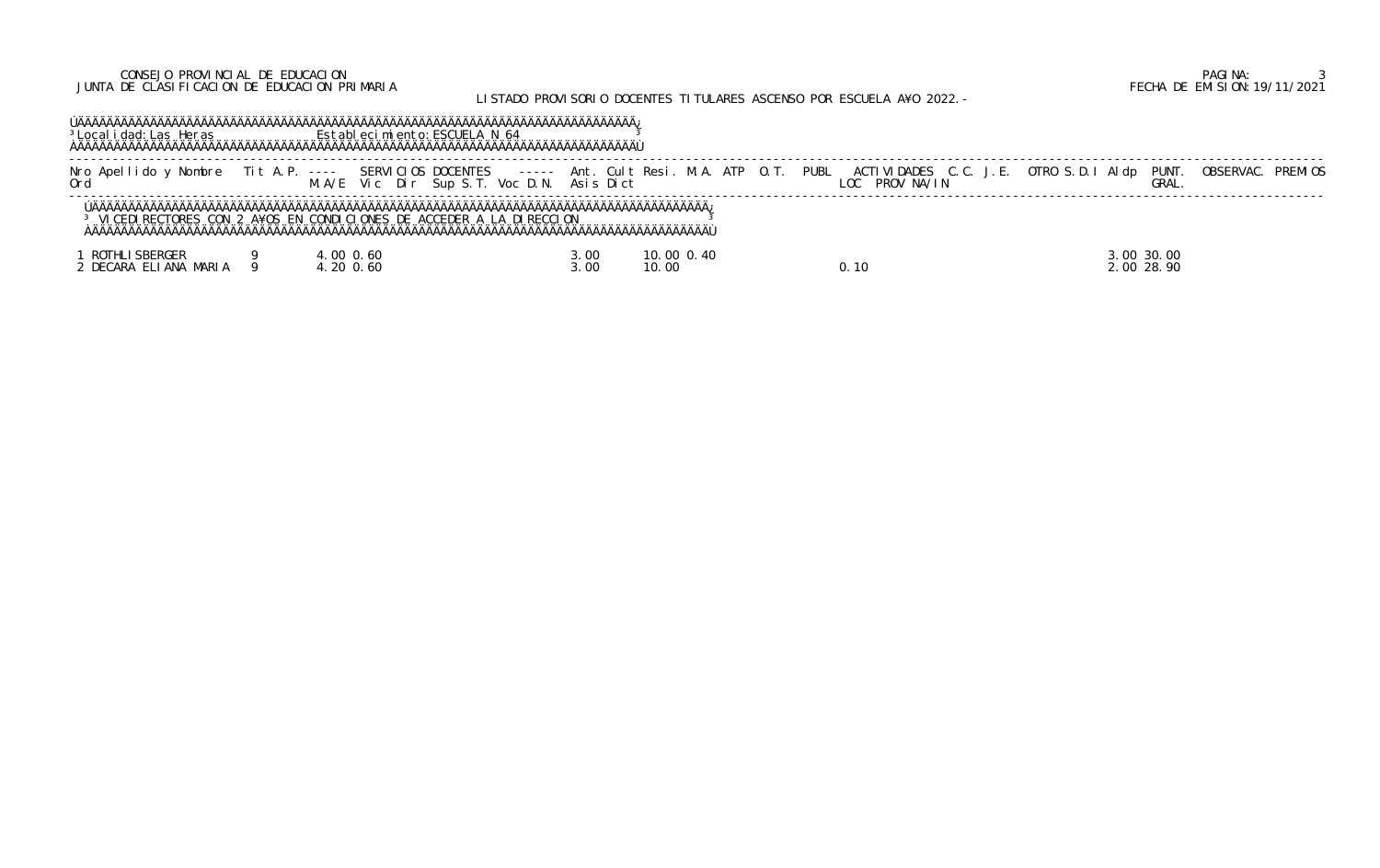## CONSEJO PROVINCIAL DE EDUCACION PAGINA: 3 JUNTA DE CLASIFICACION DE EDUCACION PRIMARIA FECHA DE EMISION:19/11/2021

# LISTADO PROVISORIO DOCENTES TITULARES ASCENSO POR ESCUELA A¥O 2022. -

# ÚÄÄÄÄÄÄÄÄÄÄÄÄÄÄÄÄÄÄÄÄÄÄÄÄÄÄÄÄÄÄÄÄÄÄÄÄÄÄÄÄÄÄÄÄÄÄÄÄÄÄÄÄÄÄÄÄÄÄÄÄÄÄÄÄÄÄÄÄÄÄÄÄÄÄÄÄÄ¿ <sup>3</sup>Localidad:Las Heras Establecimiento:ESCUELA N 64 <sup>3</sup> ÀÄÄÄÄÄÄÄÄÄÄÄÄÄÄÄÄÄÄÄÄÄÄÄÄÄÄÄÄÄÄÄÄÄÄÄÄÄÄÄÄÄÄÄÄÄÄÄÄÄÄÄÄÄÄÄÄÄÄÄÄÄÄÄÄÄÄÄÄÄÄÄÄÄÄÄÄÄÙ

 ----------------------------------------------------------------------------------------------------------------------------------------------------------------------------- Nro Apellido y Nombre Tit A.P. ---- SERVICIOS DOCENTES ----- Ant. Cult Resi. M.A. ATP O.T. PUBL ACTIVIDADES C.C. J.E. OTRO S.D.I Aldp PUNT. OBSERVAC. PREMIOS Ord M.A/E Vic Dir Sup S.T. Voc D.N. Asis Dict LOC PROV NA/IN GRAL. -----------------------------------------------------------------------------------------------------------------------------------------------------------------------------

 ÚÄÄÄÄÄÄÄÄÄÄÄÄÄÄÄÄÄÄÄÄÄÄÄÄÄÄÄÄÄÄÄÄÄÄÄÄÄÄÄÄÄÄÄÄÄÄÄÄÄÄÄÄÄÄÄÄÄÄÄÄÄÄÄÄÄÄÄÄÄÄÄÄÄÄÄÄÄÄÄÄÄÄÄÄÄ¿ <sup>3</sup> VICEDIRECTORES CON 2 A¥OS EN CONDICIONES DE ACCEDER A LA DIRECCION <sup>3</sup> ÀÄÄÄÄÄÄÄÄÄÄÄÄÄÄÄÄÄÄÄÄÄÄÄÄÄÄÄÄÄÄÄÄÄÄÄÄÄÄÄÄÄÄÄÄÄÄÄÄÄÄÄÄÄÄÄÄÄÄÄÄÄÄÄÄÄÄÄÄÄÄÄÄÄÄÄÄÄÄÄÄÄÄÄÄÄÙ

| <b>ROTHLI SBERGER</b>                           | 00 0.60 | 3.00 | . 40<br>$10.000$ . |     | 30.00<br>3.00 |
|-------------------------------------------------|---------|------|--------------------|-----|---------------|
| $\angle$ <code>DECARA</code><br>I ANA<br>MARI A | 20 0.60 | 3.00 | 10.00              | -10 | 28.90<br>2.00 |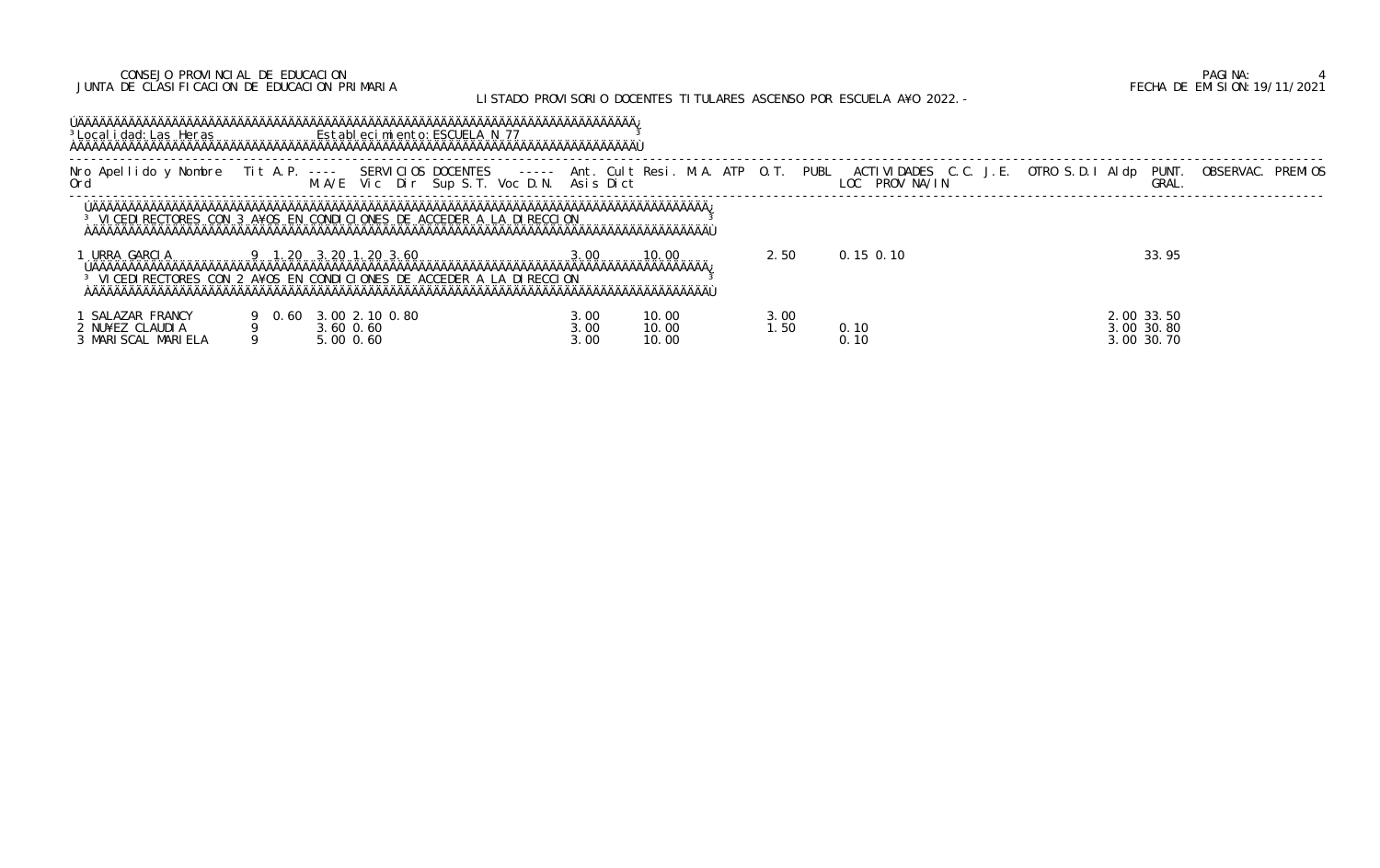## CONSEJO PROVINCIAL DE EDUCACION PAGINA: 4 JUNTA DE CLASIFICACION DE EDUCACION PRIMARIA FECHA DE EMISION:19/11/2021

# LISTADO PROVISORIO DOCENTES TITULARES ASCENSO POR ESCUELA A¥O 2022. -

| <sup>3</sup> Local i dad: Las Heras                     |                                                        | Establecimiento: ESCUELA N 77                                                                                                                                                                      |                      |                         |              |                                                                                                                                                         |                                        |                   |
|---------------------------------------------------------|--------------------------------------------------------|----------------------------------------------------------------------------------------------------------------------------------------------------------------------------------------------------|----------------------|-------------------------|--------------|---------------------------------------------------------------------------------------------------------------------------------------------------------|----------------------------------------|-------------------|
|                                                         |                                                        | M.A/E Vic Dir Sup S.T. Voc D.N. Asis Dict                                                                                                                                                          |                      |                         |              | Nro Apellido y Nombre Tit A.P. ---- SERVICIOS DOCENTES ----- Ant. Cult Resi. M.A. ATP O.T. PUBL ACTIVIDADES C.C. J.E. OTRO S.D.I Aldp<br>LOC PROV NA/IN | PUNT.<br>GRAL.                         | OBSERVAC. PREMIOS |
|                                                         |                                                        | <sup>3</sup> VICEDIRECTORES CON 3 A¥OS EN CONDICIONES DE ACCEDER A LA DIRECCION                                                                                                                    |                      |                         |              |                                                                                                                                                         |                                        |                   |
| URRA GARCIA                                             | 9 1.20 3.20 1.20 3.60                                  | <sup>3</sup> VICEDIRECTORES CON 2 A¥OS EN CONDICIONES DE ACCEDER A LA DIRECCION<br>تققيم المستقيم المستقيم المستقيم المستقيم المستقيم المستقيم المستقيم المستقيم المستقيم المستقيم المستقيم المستق | 3.00                 | 10.00                   | 2.50         | $0.15$ $0.10$                                                                                                                                           | 33.95                                  |                   |
| SALAZAR FRANCY<br>2 NU¥EZ CLAUDIA<br>3 MARISCAL MARIELA | 3.00 2.10 0.80<br>9 0.60<br>$3.60$ $0.60$<br>5,00 0,60 |                                                                                                                                                                                                    | 3.00<br>3.00<br>3.00 | 10.00<br>10.00<br>10.00 | 3.00<br>1.50 | 0.10<br>0.10                                                                                                                                            | 2.00 33.50<br>3.00 30.80<br>3.00 30.70 |                   |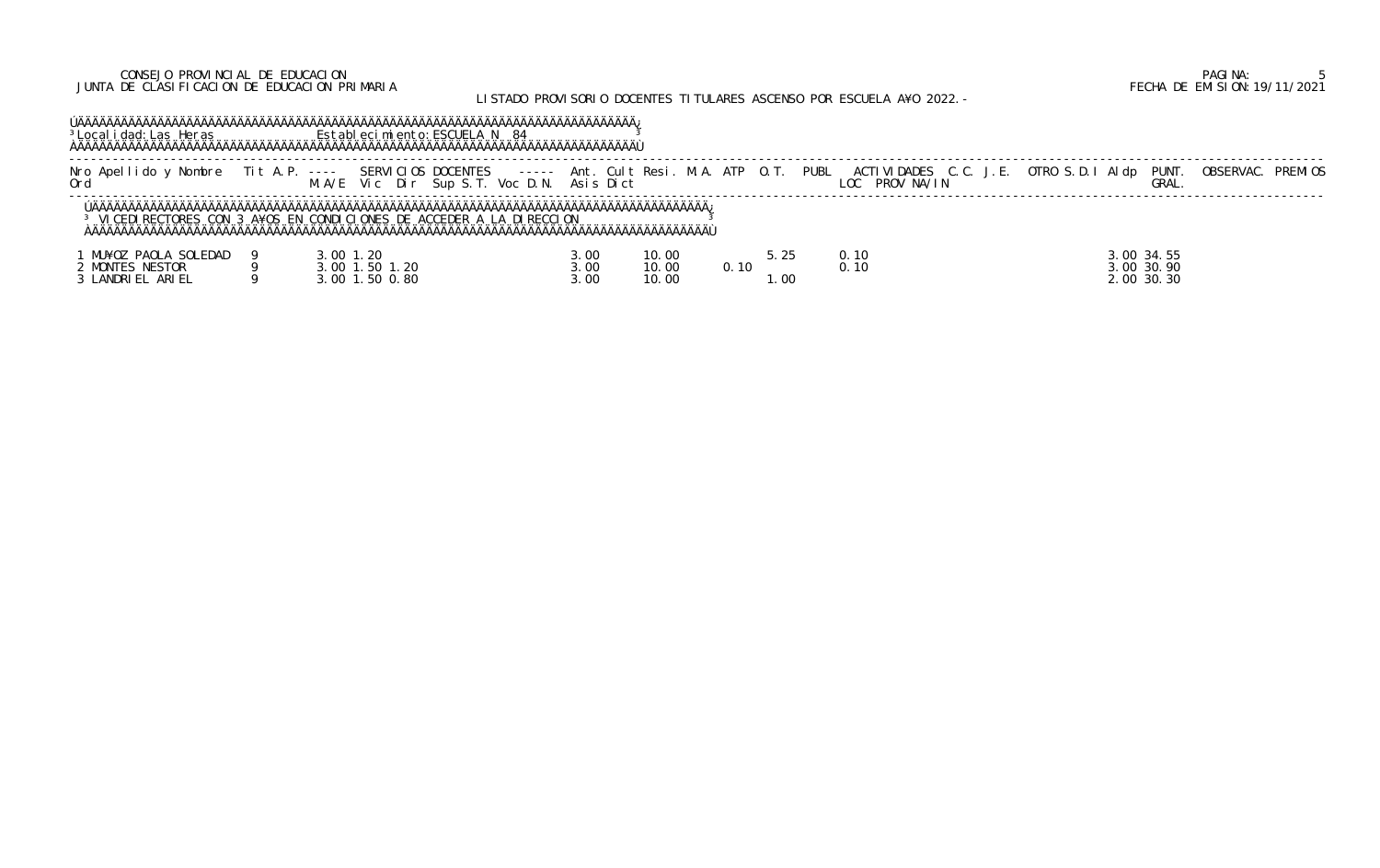## CONSEJO PROVINCIAL DE EDUCACION PAGINA: 5 JUNTA DE CLASIFICACION DE EDUCACION PRIMARIA FECHA DE EMISION:19/11/2021

# LISTADO PROVISORIO DOCENTES TITULARES ASCENSO POR ESCUELA A¥O 2022. -

 ----------------------------------------------------------------------------------------------------------------------------------------------------------------------------- Nro Apellido y Nombre Tit A.P. ---- SERVICIOS DOCENTES ----- Ant. Cult Resi. M.A. ATP O.T. PUBL ACTIVIDADES C.C. J.E. OTRO S.D.I Aldp PUNT. OBSERVAC. PREMIOS Ord M.A/E Vic Dir Sup S.T. Voc D.N. Asis Dict LOC PROV NA/IN GRAL.

# ÚÄÄÄÄÄÄÄÄÄÄÄÄÄÄÄÄÄÄÄÄÄÄÄÄÄÄÄÄÄÄÄÄÄÄÄÄÄÄÄÄÄÄÄÄÄÄÄÄÄÄÄÄÄÄÄÄÄÄÄÄÄÄÄÄÄÄÄÄÄÄÄÄÄÄÄÄÄ¿ <sup>3</sup>Localidad:Las Heras Establecimiento:ESCUELA N 84 3 ÀÄÄÄÄÄÄÄÄÄÄÄÄÄÄÄÄÄÄÄÄÄÄÄÄÄÄÄÄÄÄÄÄÄÄÄÄÄÄÄÄÄÄÄÄÄÄÄÄÄÄÄÄÄÄÄÄÄÄÄÄÄÄÄÄÄÄÄÄÄÄÄÄÄÄÄÄÄÙ

| Nombre<br>Anel<br>do | $- - - - -$ | SERVICIOS DOCENTES                     | M.A.<br>Cult Resi<br>ATP 0.1.<br>Ant. | <b>PUBL</b><br>ACTI VI DADES     | <b>OBSERVAC</b><br><b>PUNT</b><br><b>PREMI OS</b><br>Al dp<br>OTRO S.D. |
|----------------------|-------------|----------------------------------------|---------------------------------------|----------------------------------|-------------------------------------------------------------------------|
| 0 <sup>r</sup>       | .1. A/F     | $Voc$ D.N.<br>Vi c<br>Di r<br>Sup S.T. | Asis Dict                             | NA/IN<br><b>PROV</b><br>$\Omega$ | GRAL                                                                    |
|                      |             |                                        |                                       |                                  |                                                                         |

 ÚÄÄÄÄÄÄÄÄÄÄÄÄÄÄÄÄÄÄÄÄÄÄÄÄÄÄÄÄÄÄÄÄÄÄÄÄÄÄÄÄÄÄÄÄÄÄÄÄÄÄÄÄÄÄÄÄÄÄÄÄÄÄÄÄÄÄÄÄÄÄÄÄÄÄÄÄÄÄÄÄÄÄÄÄÄ¿ <sup>3</sup> VICEDIRECTORES CON 3 A¥OS EN CONDICIONES DE ACCEDER A LA DIRECCION <sup>3</sup> ÀÄÄÄÄÄÄÄÄÄÄÄÄÄÄÄÄÄÄÄÄÄÄÄÄÄÄÄÄÄÄÄÄÄÄÄÄÄÄÄÄÄÄÄÄÄÄÄÄÄÄÄÄÄÄÄÄÄÄÄÄÄÄÄÄÄÄÄÄÄÄÄÄÄÄÄÄÄÄÄÄÄÄÄÄÄÙ

| MU¥OZ PAOLA SOLEDAD        | . 00 1. 20      | 3.00 | 10.00 | $\sim$ $\sim$ $\sim$<br>ວ. ∠ວ | 10 | 3.00 34.55 |
|----------------------------|-----------------|------|-------|-------------------------------|----|------------|
| MONTES NESTOR              | $.00$ 1.50 1.20 | 3.00 | 10.00 | 0.10                          | 10 | 3.00 30.90 |
| ARI EL<br><b>LANDRI EL</b> | $.00$ 1.50 0.80 | 3.00 | 10.00 | .00                           |    | 2.00 30.30 |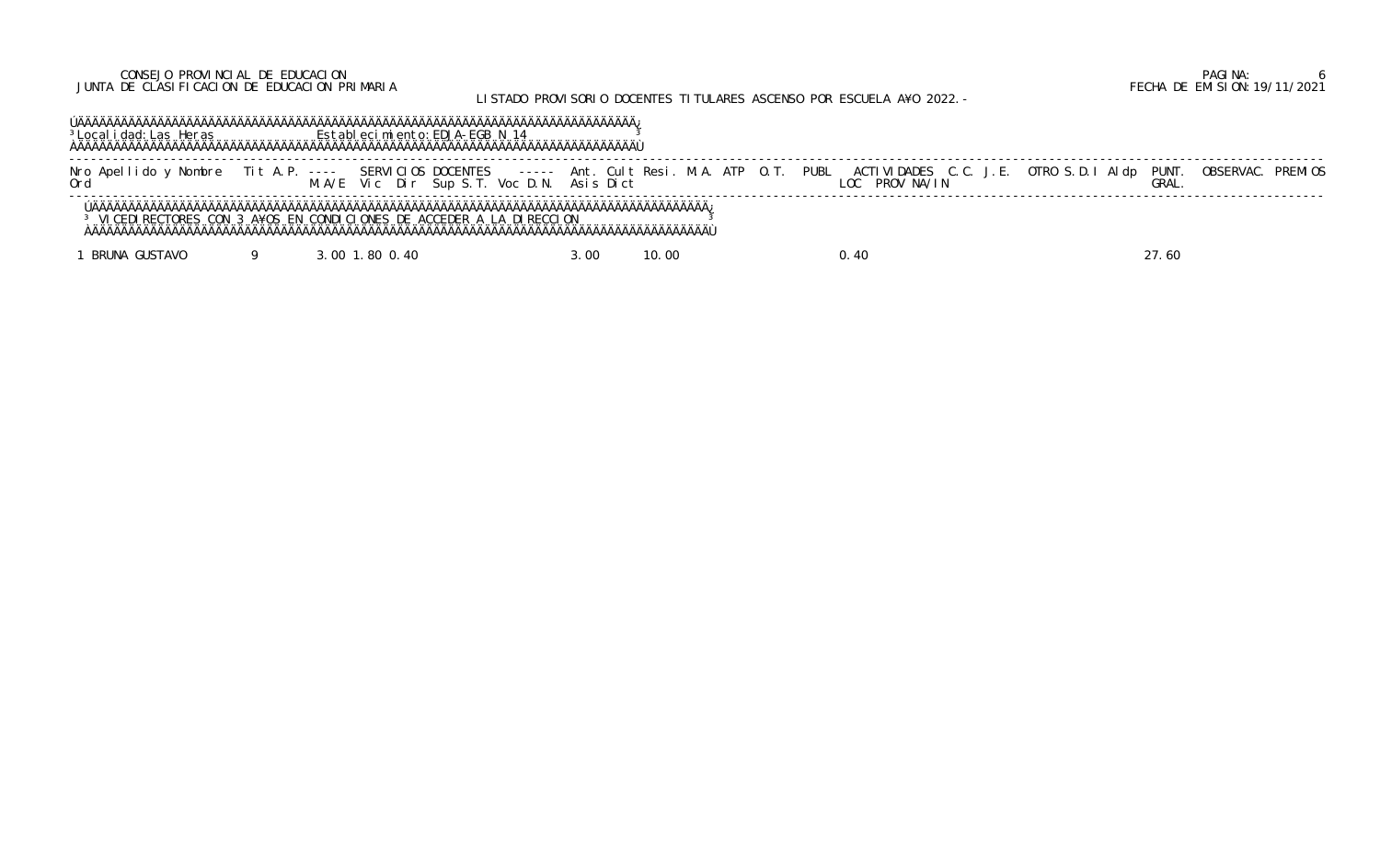## CONSEJO PROVINCIAL DE EDUCACION PAGINA: 6 JUNTA DE CLASIFICACION DE EDUCACION PRIMARIA FECHA DE EMISION:19/11/2021

# LISTADO PROVISORIO DOCENTES TITULARES ASCENSO POR ESCUELA A¥O 2022. -

 ÚÄÄÄÄÄÄÄÄÄÄÄÄÄÄÄÄÄÄÄÄÄÄÄÄÄÄÄÄÄÄÄÄÄÄÄÄÄÄÄÄÄÄÄÄÄÄÄÄÄÄÄÄÄÄÄÄÄÄÄÄÄÄÄÄÄÄÄÄÄÄÄÄÄÄÄÄÄ¿ <sup>3</sup>Localidad:Las Heras Establecimiento:EDJA-EGB N 14 <sup>3</sup> ÀÄÄÄÄÄÄÄÄÄÄÄÄÄÄÄÄÄÄÄÄÄÄÄÄÄÄÄÄÄÄÄÄÄÄÄÄÄÄÄÄÄÄÄÄÄÄÄÄÄÄÄÄÄÄÄÄÄÄÄÄÄÄÄÄÄÄÄÄÄÄÄÄÄÄÄÄÄÙ

 ----------------------------------------------------------------------------------------------------------------------------------------------------------------------------- Nro Apellido y Nombre Tit A.P. ---- SERVICIOS DOCENTES ----- Ant. Cult Resi. M.A. ATP O.T. PUBL ACTIVIDADES C.C. J.E. OTRO S.D.I Aldp PUNT. OBSERVAC. PREMIOS Ord M.A/E Vic Dir Sup S.T. Voc D.N. Asis Dict LOC PROV NA/IN GRAL. -----------------------------------------------------------------------------------------------------------------------------------------------------------------------------

 ÚÄÄÄÄÄÄÄÄÄÄÄÄÄÄÄÄÄÄÄÄÄÄÄÄÄÄÄÄÄÄÄÄÄÄÄÄÄÄÄÄÄÄÄÄÄÄÄÄÄÄÄÄÄÄÄÄÄÄÄÄÄÄÄÄÄÄÄÄÄÄÄÄÄÄÄÄÄÄÄÄÄÄÄÄÄ¿ <sup>3</sup> VICEDIRECTORES CON 3 A¥OS EN CONDICIONES DE ACCEDER A LA DIRECCION <sup>3</sup> ÀÄÄÄÄÄÄÄÄÄÄÄÄÄÄÄÄÄÄÄÄÄÄÄÄÄÄÄÄÄÄÄÄÄÄÄÄÄÄÄÄÄÄÄÄÄÄÄÄÄÄÄÄÄÄÄÄÄÄÄÄÄÄÄÄÄÄÄÄÄÄÄÄÄÄÄÄÄÄÄÄÄÄÄÄÄÙ

1 BRUNA GUSTAVO 9 3.00 1.80 0.40 3.00 10.00 0.40 27.60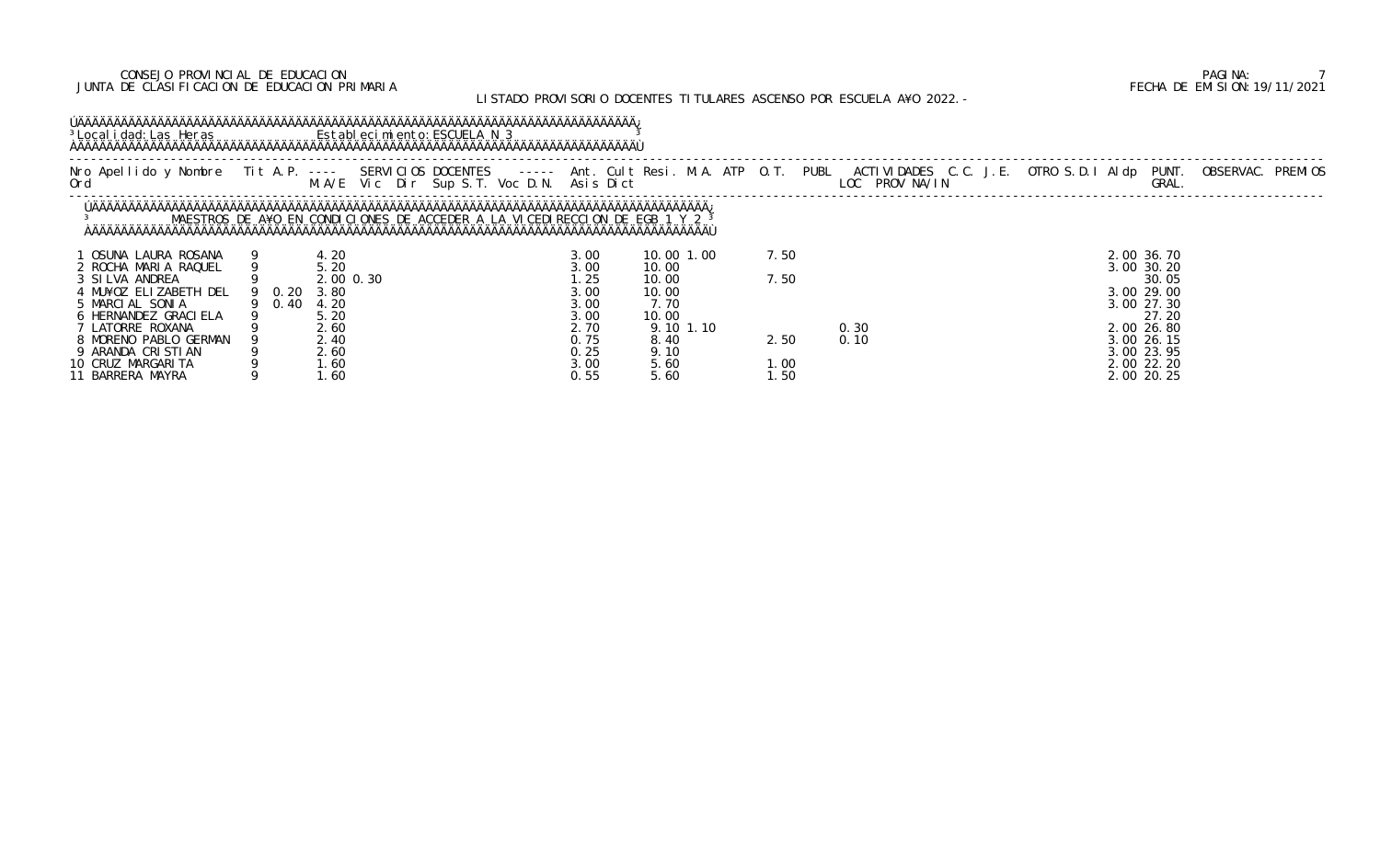## CONSEJO PROVINCIAL DE EDUCACION PAGINA: 7 JUNTA DE CLASIFICACION DE EDUCACION PRIMARIA FECHA DE EMISION:19/11/2021

# LISTADO PROVISORIO DOCENTES TITULARES ASCENSO POR ESCUELA A¥O 2022. -

# ÚÄÄÄÄÄÄÄÄÄÄÄÄÄÄÄÄÄÄÄÄÄÄÄÄÄÄÄÄÄÄÄÄÄÄÄÄÄÄÄÄÄÄÄÄÄÄÄÄÄÄÄÄÄÄÄÄÄÄÄÄÄÄÄÄÄÄÄÄÄÄÄÄÄÄÄÄÄ¿ <sup>3</sup>Localidad:Las Heras Establecimiento:ESCUELA N 3 ÀÄÄÄÄÄÄÄÄÄÄÄÄÄÄÄÄÄÄÄÄÄÄÄÄÄÄÄÄÄÄÄÄÄÄÄÄÄÄÄÄÄÄÄÄÄÄÄÄÄÄÄÄÄÄÄÄÄÄÄÄÄÄÄÄÄÄÄÄÄÄÄÄÄÄÄÄÄÙ

|                       |        |                                                                             |      |            |      |      | OTRO S.D.I<br>PUNT.<br>AI dp<br>GRAL. | OBSERVAC.<br><b>PREMIOS</b> |
|-----------------------|--------|-----------------------------------------------------------------------------|------|------------|------|------|---------------------------------------|-----------------------------|
|                       |        | MAESTROS DE A¥O EN CONDICIONES DE ACCEDER A LA VICEDIRECCION DE EGB 1 Y 2 3 |      |            |      |      |                                       |                             |
| OSUNA LAURA ROSANA    |        | 4.20                                                                        | 3.00 | 10.00 1.00 | 7.50 |      | 2.00 36.70                            |                             |
| 2 ROCHA MARIA RAQUEL  |        | 5.20                                                                        | 3.00 | 10.00      |      |      | 3.00 30.20                            |                             |
| 3 SILVA ANDREA        |        | 2.00 0.30                                                                   | 1.25 | 10.00      | 7.50 |      | 30.05                                 |                             |
| 4 MU¥OZ ELIZABETH DEL | 9 0.20 | 3.80                                                                        | 3.00 | 10.00      |      |      | 3.00 29.00                            |                             |
| 5 MARCIAL SONIA       | 9 0.40 | 4.20                                                                        | 3.00 | 7.70       |      |      | 3.00 27.30                            |                             |
| 6 HERNANDEZ GRACI ELA |        | 5.20                                                                        | 3.00 | 10.00      |      |      | 27.20                                 |                             |
| 7 LATORRE ROXANA      |        | 2.60                                                                        | 2.70 | 9.10 1.10  |      | 0.30 | 2.00 26.80                            |                             |
| 8 MORENO PABLO GERMAN |        | 2.40                                                                        | 0.75 | 8.40       | 2.50 | 0.10 | 3.00 26.15                            |                             |
| 9 ARANDA CRISTIAN     |        | 2.60                                                                        | 0.25 | 9.10       |      |      | 3.00 23.95                            |                             |
| 10 CRUZ MARGARI TA    |        | 1.60                                                                        | 3.00 | 5.60       | 1.00 |      | 2.00 22.20                            |                             |
|                       |        |                                                                             |      |            |      |      |                                       |                             |
| 11 BARRERA MAYRA      | 9      | 60                                                                          | 0.55 | 5.60       | 1.50 |      | 2.00 20.25                            |                             |
|                       |        |                                                                             |      |            |      |      |                                       |                             |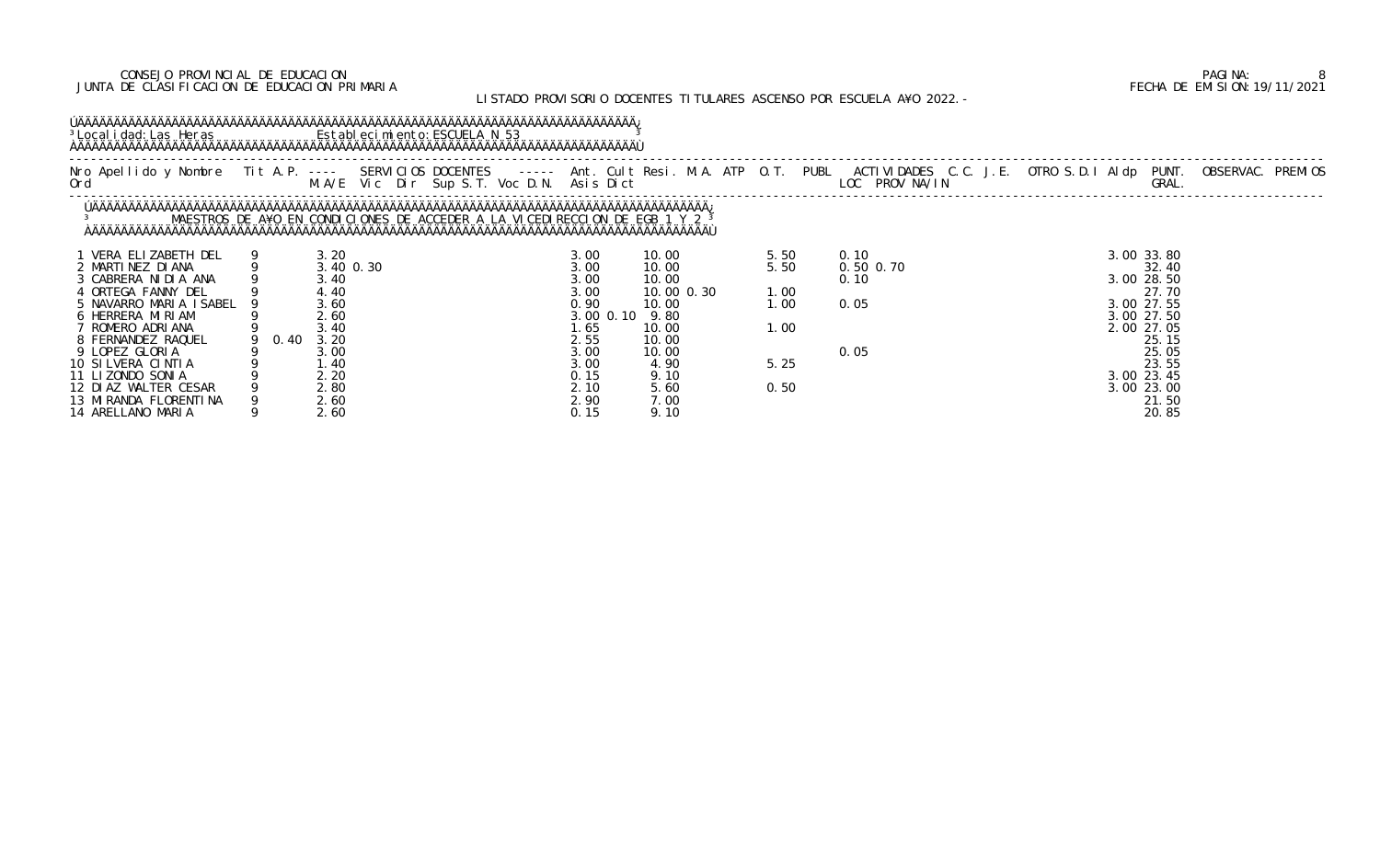## CONSEJO PROVINCIAL DE EDUCACION PAGINA: 8 JUNTA DE CLASIFICACION DE EDUCACION PRIMARIA FECHA DE EMISION:19/11/2021

# LISTADO PROVISORIO DOCENTES TITULARES ASCENSO POR ESCUELA A¥O 2022. -

# ÚÄÄÄÄÄÄÄÄÄÄÄÄÄÄÄÄÄÄÄÄÄÄÄÄÄÄÄÄÄÄÄÄÄÄÄÄÄÄÄÄÄÄÄÄÄÄÄÄÄÄÄÄÄÄÄÄÄÄÄÄÄÄÄÄÄÄÄÄÄÄÄÄÄÄÄÄÄ¿ <sup>3</sup>Localidad:Las Heras Establecimiento:ESCUELA N 53 3 ÀÄÄÄÄÄÄÄÄÄÄÄÄÄÄÄÄÄÄÄÄÄÄÄÄÄÄÄÄÄÄÄÄÄÄÄÄÄÄÄÄÄÄÄÄÄÄÄÄÄÄÄÄÄÄÄÄÄÄÄÄÄÄÄÄÄÄÄÄÄÄÄÄÄÄÄÄÄÙ

|                         |   |      |                                                                             |  |           |            |      |           | OTRO S.D.I AIdp PUNT.<br>GRAL. | OBSERVAC. | PREMI OS |
|-------------------------|---|------|-----------------------------------------------------------------------------|--|-----------|------------|------|-----------|--------------------------------|-----------|----------|
|                         |   |      | MAESTROS DE A¥O EN CONDICIONES DE ACCEDER A LA VICEDIRECCION DE EGB 1 Y 2 3 |  |           |            |      |           |                                |           |          |
| VERA ELIZABETH DEL      |   |      | 3.20                                                                        |  | 3.00      | 10.00      | 5.50 | 0.10      | 3.00 33.80                     |           |          |
| 2 MARTINEZ DIANA        |   |      | 3.40 0.30                                                                   |  | 3.00      | 10.00      | 5.50 | 0.50 0.70 | 32.40                          |           |          |
| 3 CABRERA NI DI A ANA   |   |      | 3.40                                                                        |  | 3.00      | 10.00      |      | 0.10      | 3.00 28.50                     |           |          |
| 4 ORTEGA FANNY DEL      |   |      | 4.40                                                                        |  | 3.00      | 10.00 0.30 | 1.00 |           | 27.70                          |           |          |
| 5 NAVARRO MARIA ISABEL  |   |      | 3.60                                                                        |  | 0.90      | 10.00      | 1.00 | 0.05      | 3.00 27.55                     |           |          |
| 6 HERRERA MIRIAM        |   |      | 2.60                                                                        |  | 3.00 0.10 | 9.80       |      |           | 3.00 27.50                     |           |          |
| 7 ROMERO ADRIANA        |   |      | 3.40                                                                        |  | 1.65      | 10.00      | 1.00 |           | 2.00 27.05                     |           |          |
| 8 FERNANDEZ RAQUEL      | 9 | 0.40 | 3.20                                                                        |  | 2.55      | 10.00      |      |           | 25.15                          |           |          |
| 9 LOPEZ GLORIA          |   |      | 3.00                                                                        |  | 3.00      | 10.00      |      | 0.05      | 25.05                          |           |          |
| 10 SILVERA CINTIA       |   |      | 1.40                                                                        |  | 3.00      | 4.90       | 5.25 |           | 23.55                          |           |          |
| 11 LIZONDO SONIA        |   |      | 2.20                                                                        |  | 0.15      | 9.10       |      |           | 3.00 23.45                     |           |          |
| 12 DIAZ WALTER CESAR    |   |      | 2.80                                                                        |  | 2.10      | 5.60       | 0.50 |           | 3.00 23.00                     |           |          |
| 13 MI RANDA FLORENTI NA |   |      | 2.60                                                                        |  | 2.90      | 7.00       |      |           | 21.50                          |           |          |
| 14 ARELLANO MARIA       |   |      | 2.60                                                                        |  | 0.15      | 9.10       |      |           | 20.85                          |           |          |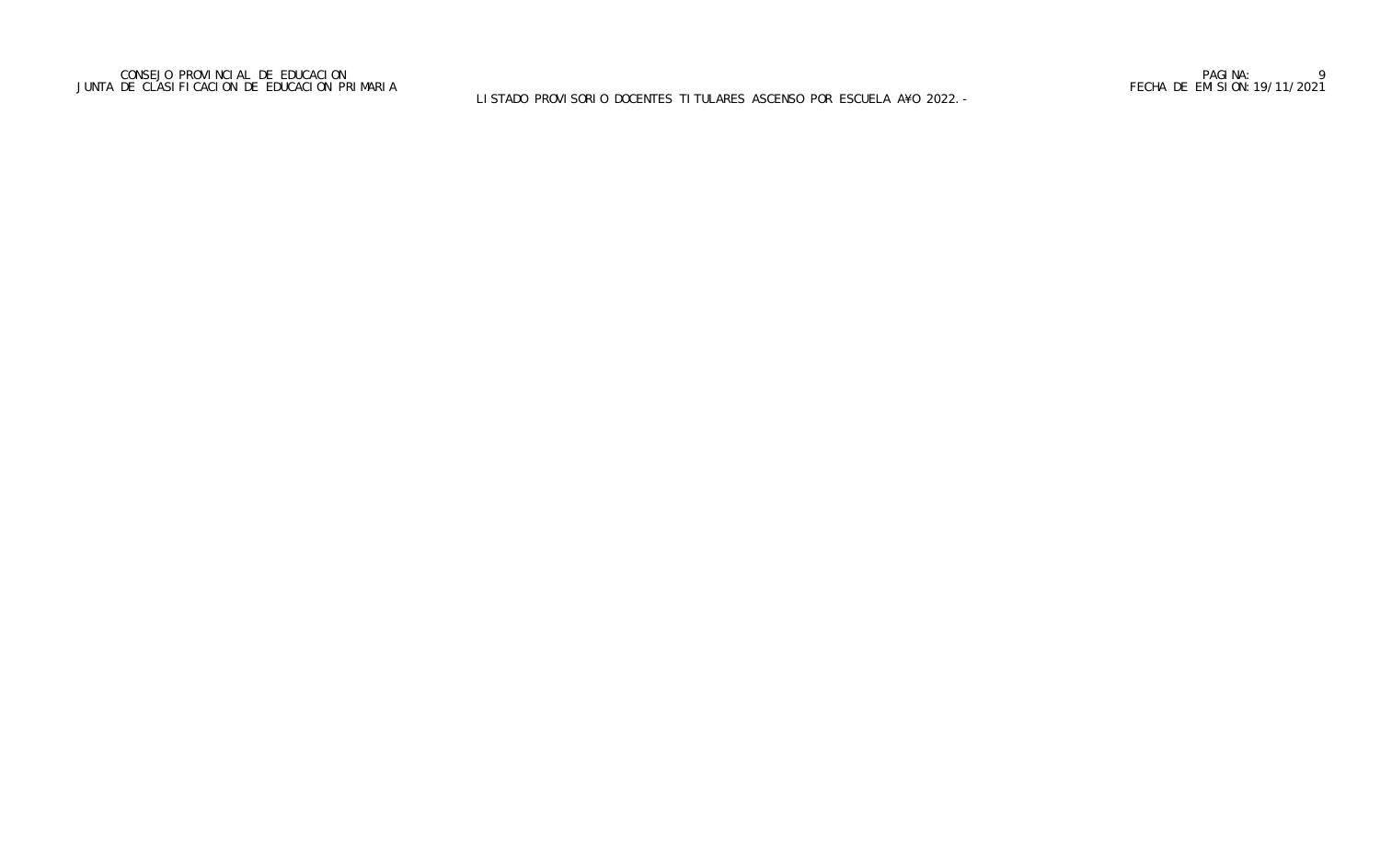CONSEJO PROVINCIAL DE EDUCACION PAGINA: 9 JUNTA DE CLASIFICACION DE EDUCACION PRIMARIA FECHA DE EMISION:19/11/2021

LISTADO PROVISORIO DOCENTES TITULARES ASCENSO POR ESCUELA A¥O 2022. -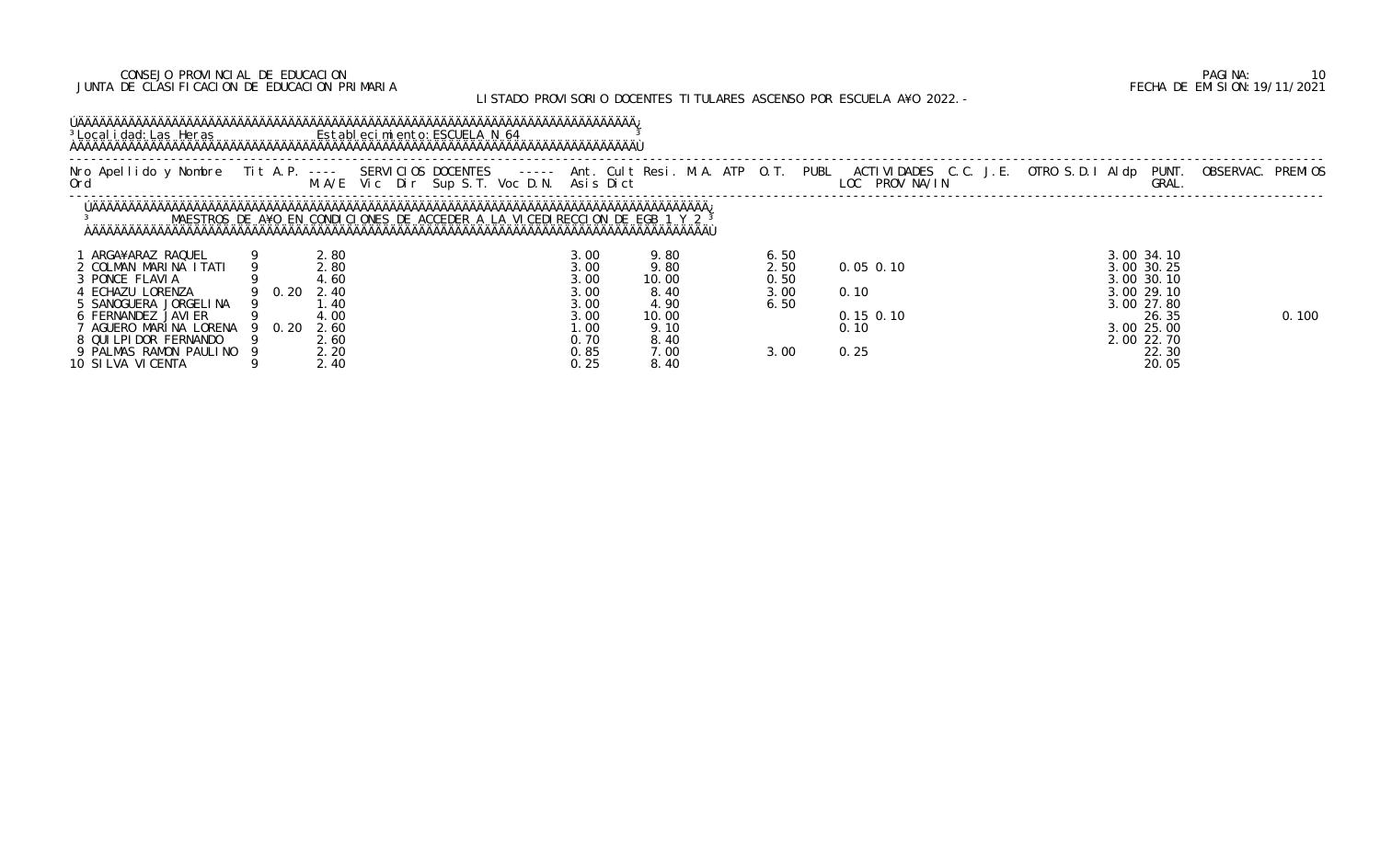## CONSEJO PROVINCIAL DE EDUCACION PAGINA: 10 JUNTA DE CLASIFICACION DE EDUCACION PRIMARIA FECHA DE EMISION:19/11/2021

# LISTADO PROVISORIO DOCENTES TITULARES ASCENSO POR ESCUELA A¥O 2022. -

# ÚÄÄÄÄÄÄÄÄÄÄÄÄÄÄÄÄÄÄÄÄÄÄÄÄÄÄÄÄÄÄÄÄÄÄÄÄÄÄÄÄÄÄÄÄÄÄÄÄÄÄÄÄÄÄÄÄÄÄÄÄÄÄÄÄÄÄÄÄÄÄÄÄÄÄÄÄÄ¿ <sup>3</sup>Localidad:Las Heras Establecimiento:ESCUELA N 64 <sup>3</sup> ÀÄÄÄÄÄÄÄÄÄÄÄÄÄÄÄÄÄÄÄÄÄÄÄÄÄÄÄÄÄÄÄÄÄÄÄÄÄÄÄÄÄÄÄÄÄÄÄÄÄÄÄÄÄÄÄÄÄÄÄÄÄÄÄÄÄÄÄÄÄÄÄÄÄÄÄÄÄÙ

| Nro Apellido y Nombre Tit A.P. ---- SERVICIOS DOCENTES   ----- Ant. Cult Resi. M.A. ATP  0.T. PUBL   ACTIVIDADES  C.C. J.E.<br>Ord                           M.A/E  Vic  Dir  Sup S.T. Voc D.N.  Asis Dict |        |             |  |  |      |       |      |               | OTRO S.D.I AIdp PUNT. | GRAL.      | OBSERVAC. PREMIOS |       |
|------------------------------------------------------------------------------------------------------------------------------------------------------------------------------------------------------------|--------|-------------|--|--|------|-------|------|---------------|-----------------------|------------|-------------------|-------|
|                                                                                                                                                                                                            |        |             |  |  |      |       |      |               |                       |            |                   |       |
|                                                                                                                                                                                                            |        |             |  |  |      |       |      |               |                       |            |                   |       |
| MAESTROS DE A¥O EN CONDICIONES DE ACCEDER A LA VICEDIRECCION DE EGB 1 Y 2 3                                                                                                                                |        |             |  |  |      |       |      |               |                       |            |                   |       |
|                                                                                                                                                                                                            |        |             |  |  |      |       |      |               |                       |            |                   |       |
| ARGA¥ARAZ RAQUEL                                                                                                                                                                                           |        | 2.80        |  |  | 3.00 | 9.80  | 6.50 |               |                       | 3.00 34.10 |                   |       |
| 2 COLMAN MARINA ITATI                                                                                                                                                                                      |        | 2.80        |  |  | 3.00 | 9.80  | 2.50 | $0.05$ 0.10   |                       | 3.00 30.25 |                   |       |
| 3 PONCE FLAVIA                                                                                                                                                                                             |        | 4.60        |  |  | 3.00 | 10.00 | 0.50 |               |                       | 3.00 30.10 |                   |       |
| 4 ECHAZU LORENZA                                                                                                                                                                                           |        | 9 0.20 2.40 |  |  | 3.00 | 8.40  | 3.00 | 0.10          |                       | 3.00 29.10 |                   |       |
| 5 SANOGUERA JORGELINA                                                                                                                                                                                      |        | l. 40       |  |  | 3.00 | 4.90  | 6.50 |               |                       | 3.00 27.80 |                   |       |
| 6 FERNANDEZ JAVI ER                                                                                                                                                                                        |        | 4.00        |  |  | 3.00 | 10.00 |      | $0.15$ $0.10$ |                       | 26.35      |                   | 0.100 |
| 7 AGUERO MARINA LORENA                                                                                                                                                                                     | 9 0.20 | 2.60        |  |  | 1.00 | 9.10  |      | 0.10          |                       | 3.00 25.00 |                   |       |
| 8 QUI LPI DOR FERNANDO                                                                                                                                                                                     |        | 2.60        |  |  | 0.70 | 8.40  |      |               |                       | 2.00 22.70 |                   |       |
| 9 PALMAS RAMON PAULINO 9                                                                                                                                                                                   |        | 2.20        |  |  | 0.85 | 7.00  | 3.00 | 0.25          |                       | 22.30      |                   |       |
| 10 SILVA VICENTA                                                                                                                                                                                           |        | 2.40        |  |  | 0.25 | 8.40  |      |               |                       | 20.05      |                   |       |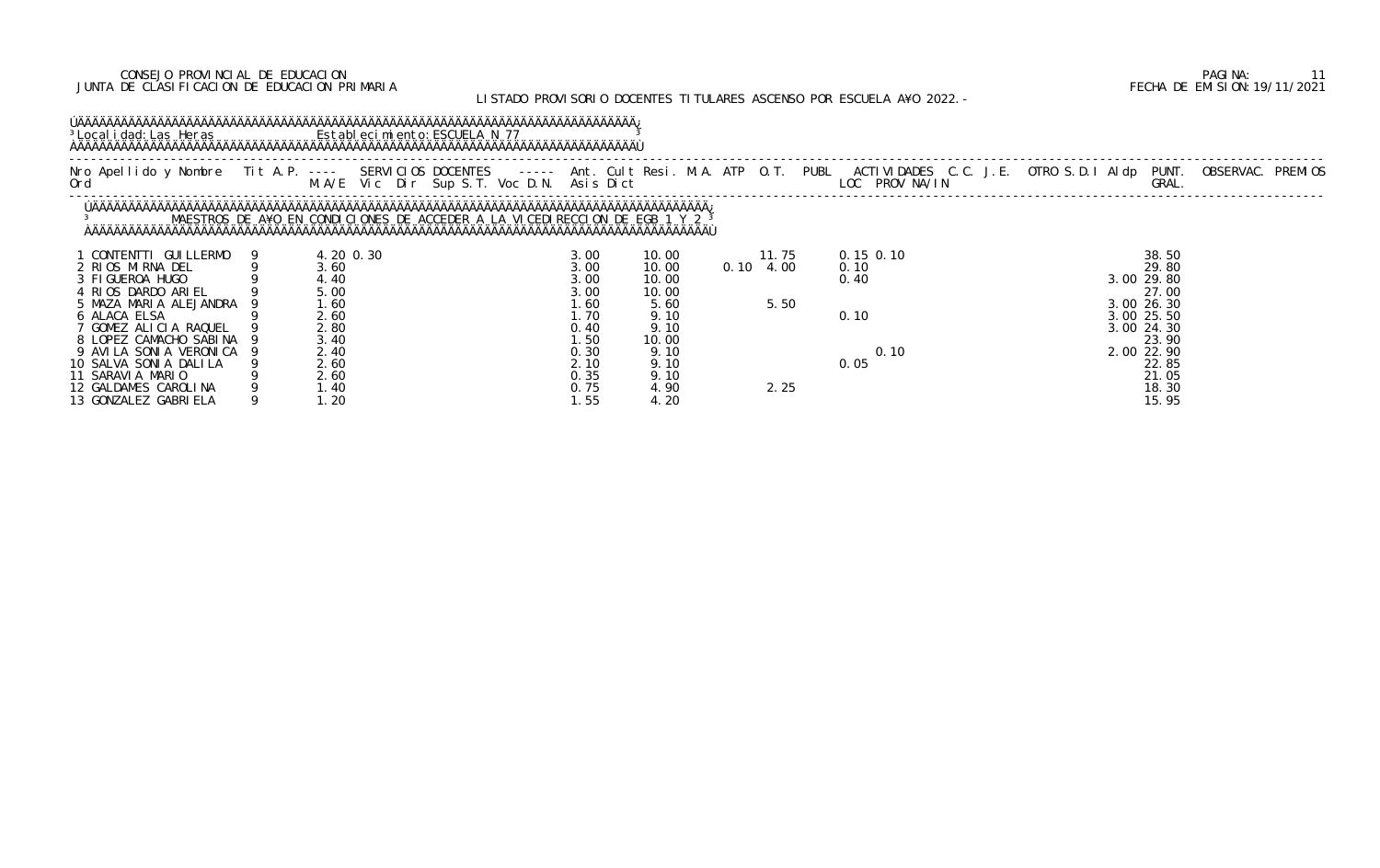## CONSEJO PROVINCIAL DE EDUCACION PAGINA: 11 JUNTA DE CLASIFICACION DE EDUCACION PRIMARIA FECHA DE EMISION:19/11/2021

# LISTADO PROVISORIO DOCENTES TITULARES ASCENSO POR ESCUELA A¥O 2022. -

# ÚÄÄÄÄÄÄÄÄÄÄÄÄÄÄÄÄÄÄÄÄÄÄÄÄÄÄÄÄÄÄÄÄÄÄÄÄÄÄÄÄÄÄÄÄÄÄÄÄÄÄÄÄÄÄÄÄÄÄÄÄÄÄÄÄÄÄÄÄÄÄÄÄÄÄÄÄÄ¿ <sup>3</sup>Localidad:Las Heras Establecimiento:ESCUELA N 77 3 ÀÄÄÄÄÄÄÄÄÄÄÄÄÄÄÄÄÄÄÄÄÄÄÄÄÄÄÄÄÄÄÄÄÄÄÄÄÄÄÄÄÄÄÄÄÄÄÄÄÄÄÄÄÄÄÄÄÄÄÄÄÄÄÄÄÄÄÄÄÄÄÄÄÄÄÄÄÄÙ

|                        |           |  |      |                                                                             |  |                   | <b>Example 2018 CONTROLLING CONTROLLING CONTROLLING CONTROLLING CONTROLLING CONTROLLING CONTROLLING CONTROLLING</b> |            |  |
|------------------------|-----------|--|------|-----------------------------------------------------------------------------|--|-------------------|---------------------------------------------------------------------------------------------------------------------|------------|--|
|                        |           |  |      | MAESTROS DE A¥O EN CONDICIONES DE ACCEDER A LA VICEDIRECCION DE EGB 1 Y 2 3 |  |                   |                                                                                                                     |            |  |
| CONTENTTI GUI LLERMO   | 4.20 0.30 |  | 3.00 | 10.00                                                                       |  | 11. 75            | $0.15$ $0.10$                                                                                                       | 38.50      |  |
| 2 RIOS MIRNA DEL       | 3.60      |  | 3.00 | 10.00                                                                       |  | $0.10 \quad 4.00$ | 0.10                                                                                                                | 29.80      |  |
| 3 FIGUEROA HUGO        | 4.40      |  | 3.00 | 10.00                                                                       |  |                   | 0.40                                                                                                                | 3.00 29.80 |  |
| 4 RIOS DARDO ARIEL     | 5.00      |  | 3.00 | 10.00                                                                       |  |                   |                                                                                                                     | 27.00      |  |
| 5 MAZA MARIA ALEJANDRA | 1.60      |  | .60  | 5.60                                                                        |  | 5.50              |                                                                                                                     | 3.00 26.30 |  |
| 6 ALACA ELSA           | 2.60      |  | 1.70 | 9.10                                                                        |  |                   | 0.10                                                                                                                | 3.00 25.50 |  |
| 7 GOMEZ ALICIA RAQUEL  | 2.80      |  | 0.40 | 9.10                                                                        |  |                   |                                                                                                                     | 3.00 24.30 |  |
| 8 LOPEZ CAMACHO SABINA | 3.40      |  | 1.50 | 10.00                                                                       |  |                   |                                                                                                                     | 23.90      |  |
| 9 AVILA SONIA VERONICA | 2.40      |  | 0.30 | 9.10                                                                        |  |                   | 0.10                                                                                                                | 2.00 22.90 |  |
| 10 SALVA SONIA DALILA  | 2.60      |  | 2.10 | 9.10                                                                        |  |                   | 0.05                                                                                                                | 22.85      |  |
| 11 SARAVIA MARIO       | 2.60      |  | 0.35 | 9.10                                                                        |  |                   |                                                                                                                     | 21.05      |  |
| 12 GALDAMES CAROLINA   | 1.40      |  | 0.75 | 4.90                                                                        |  | 2.25              |                                                                                                                     | 18.30      |  |
| 13 GONZALEZ GABRIELA   | 1.20      |  | .55  | 4.20                                                                        |  |                   |                                                                                                                     | 15.95      |  |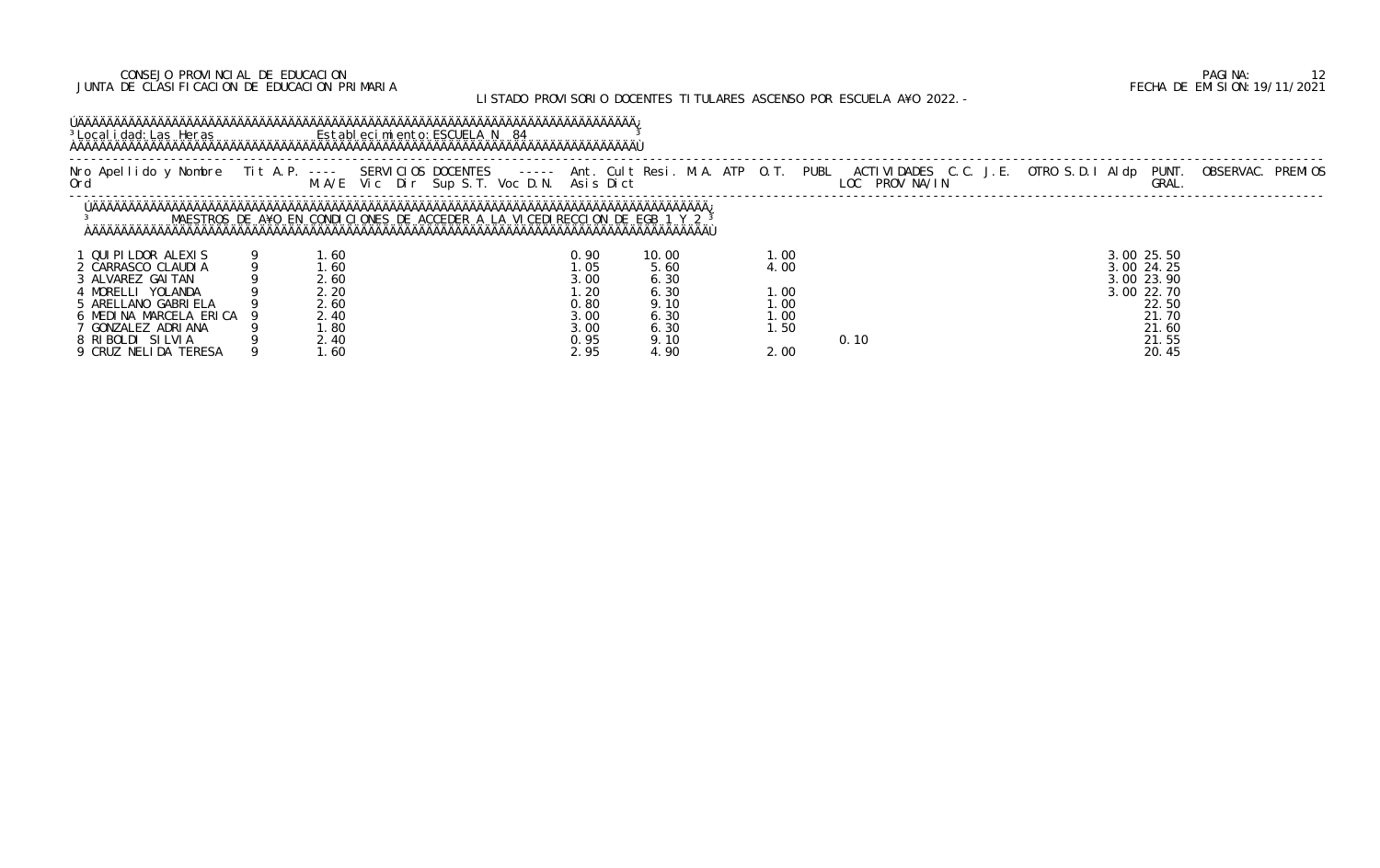## CONSEJO PROVINCIAL DE EDUCACION PAGINA: 12 JUNTA DE CLASIFICACION DE EDUCACION PRIMARIA FECHA DE EMISION:19/11/2021

# LISTADO PROVISORIO DOCENTES TITULARES ASCENSO POR ESCUELA A¥O 2022. -

# ÚÄÄÄÄÄÄÄÄÄÄÄÄÄÄÄÄÄÄÄÄÄÄÄÄÄÄÄÄÄÄÄÄÄÄÄÄÄÄÄÄÄÄÄÄÄÄÄÄÄÄÄÄÄÄÄÄÄÄÄÄÄÄÄÄÄÄÄÄÄÄÄÄÄÄÄÄÄ¿ <sup>3</sup>Localidad:Las Heras Establecimiento:ESCUELA N 84 3 ÀÄÄÄÄÄÄÄÄÄÄÄÄÄÄÄÄÄÄÄÄÄÄÄÄÄÄÄÄÄÄÄÄÄÄÄÄÄÄÄÄÄÄÄÄÄÄÄÄÄÄÄÄÄÄÄÄÄÄÄÄÄÄÄÄÄÄÄÄÄÄÄÄÄÄÄÄÄÙ

| Nro Apellido y Nombre Tit A.P. ---- SERVICIOS DOCENTES   ----- Ant. Cult Resi. M.A. ATP O.T. PUBL<br>Ord |      | M.A/E Vic Dir Sup S.T. Voc D.N. Asis Dict                                   |  |        |       |      |      | ACTIVIDADES C.C. J.E.<br>LOC PROV NA/IN | OTRO S.D.I AI dp | PUNT.<br>GRAL. | OBSERVAC. PREMIOS |
|----------------------------------------------------------------------------------------------------------|------|-----------------------------------------------------------------------------|--|--------|-------|------|------|-----------------------------------------|------------------|----------------|-------------------|
|                                                                                                          |      | MAESTROS DE A¥O EN CONDICIONES DE ACCEDER A LA VICEDIRECCION DE EGB 1 Y 2 3 |  |        |       |      |      |                                         |                  |                |                   |
| <b>QUIPILDOR ALEXIS</b>                                                                                  | 1.60 |                                                                             |  | 0.90   | 10.00 |      | 1.00 |                                         | 3.00 25.50       |                |                   |
| 2 CARRASCO CLAUDIA                                                                                       | 1.60 |                                                                             |  | . . 05 | 5.60  |      | 4.00 |                                         | 3.00 24.25       |                |                   |
| 3 ALVAREZ GAI TAN                                                                                        | 2.60 |                                                                             |  | 3.00   | 6.30  |      |      |                                         | 3.00 23.90       |                |                   |
| 4 MORELLI YOLANDA                                                                                        | 2.20 |                                                                             |  | .20    | 6.30  |      | 1.00 |                                         | 3.00 22.70       |                |                   |
| 5 ARELLANO GABRI ELA                                                                                     | 2.60 |                                                                             |  | 0.80   | 9.10  |      | 1.00 |                                         |                  | 22.50          |                   |
| 6 MEDINA MARCELA ERICA                                                                                   | 2.40 |                                                                             |  | 3.00   | 6.30  |      | 1.00 |                                         |                  | 21.70          |                   |
| <b>GONZALEZ ADRIANA</b>                                                                                  | 1.80 |                                                                             |  | 3.00   | 6.30  |      | 1.50 |                                         |                  | 21.60          |                   |
|                                                                                                          | 2.40 |                                                                             |  | 0.95   | 9.10  |      |      | 0.10                                    |                  | 21.55          |                   |
| 8 RIBOLDI SILVIA                                                                                         |      |                                                                             |  |        |       | 4.90 | 2.00 |                                         | 20.45            |                |                   |